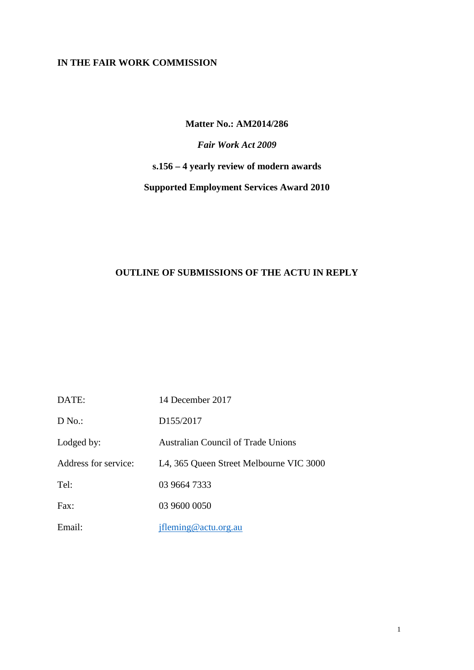## **IN THE FAIR WORK COMMISSION**

## **Matter No.: AM2014/286**

# *Fair Work Act 2009*

# **s.156 – 4 yearly review of modern awards**

# **Supported Employment Services Award 2010**

# **OUTLINE OF SUBMISSIONS OF THE ACTU IN REPLY**

| DATE:                | 14 December 2017                        |
|----------------------|-----------------------------------------|
| D No.                | D <sub>155</sub> /2017                  |
| Lodged by:           | Australian Council of Trade Unions      |
| Address for service: | L4, 365 Queen Street Melbourne VIC 3000 |
| Tel:                 | 03 9664 7333                            |
| Fax:                 | 03 9600 0050                            |
| Email:               | jfleming@actu.org.au                    |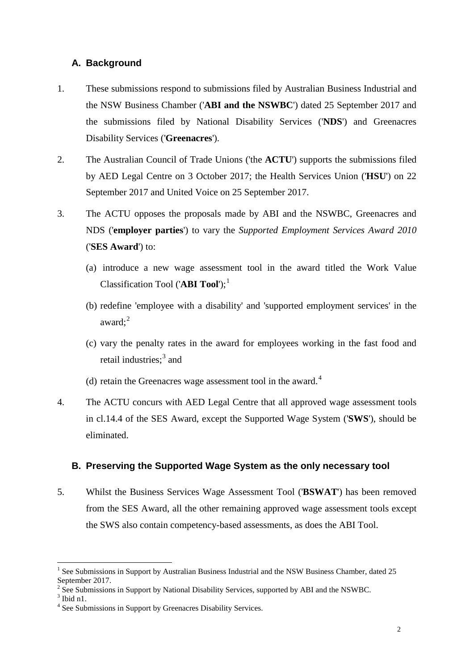## **A. Background**

- 1. These submissions respond to submissions filed by Australian Business Industrial and the NSW Business Chamber ('**ABI and the NSWBC**') dated 25 September 2017 and the submissions filed by National Disability Services ('**NDS**') and Greenacres Disability Services ('**Greenacres**').
- 2. The Australian Council of Trade Unions ('the **ACTU**') supports the submissions filed by AED Legal Centre on 3 October 2017; the Health Services Union ('**HSU**') on 22 September 2017 and United Voice on 25 September 2017.
- 3. The ACTU opposes the proposals made by ABI and the NSWBC, Greenacres and NDS ('**employer parties**') to vary the *Supported Employment Services Award 2010* ('**SES Award**') to:
	- (a) introduce a new wage assessment tool in the award titled the Work Value Classification Tool ('**ABI Tool**');<sup>[1](#page-1-0)</sup>
	- (b) redefine 'employee with a disability' and 'supported employment services' in the award; [2](#page-1-1)
	- (c) vary the penalty rates in the award for employees working in the fast food and retail industries; [3](#page-1-2) and
	- (d) retain the Greenacres wage assessment tool in the award.<sup>[4](#page-1-3)</sup>
- 4. The ACTU concurs with AED Legal Centre that all approved wage assessment tools in cl.14.4 of the SES Award, except the Supported Wage System ('**SWS**'), should be eliminated.

### **B. Preserving the Supported Wage System as the only necessary tool**

5. Whilst the Business Services Wage Assessment Tool ('**BSWAT**') has been removed from the SES Award, all the other remaining approved wage assessment tools except the SWS also contain competency-based assessments, as does the ABI Tool.

<span id="page-1-0"></span> <sup>1</sup> See Submissions in Support by Australian Business Industrial and the NSW Business Chamber, dated 25 September 2017.

<span id="page-1-1"></span> $2 \text{ See}$  Submissions in Support by National Disability Services, supported by ABI and the NSWBC.  $3 \text{ Ibid n1}$ .

<span id="page-1-2"></span>

<span id="page-1-3"></span><sup>&</sup>lt;sup>4</sup> See Submissions in Support by Greenacres Disability Services.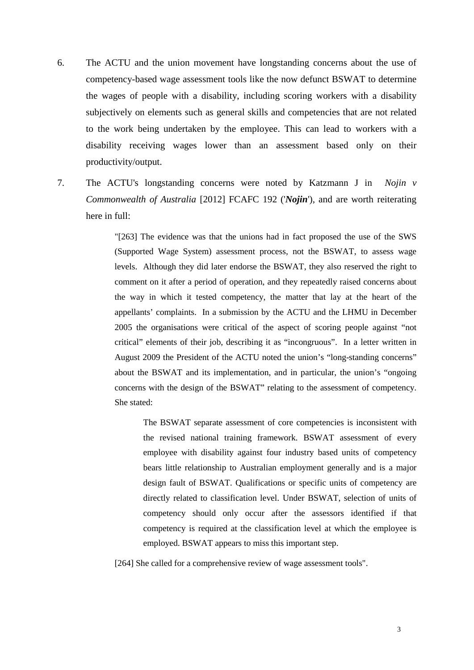- 6. The ACTU and the union movement have longstanding concerns about the use of competency-based wage assessment tools like the now defunct BSWAT to determine the wages of people with a disability, including scoring workers with a disability subjectively on elements such as general skills and competencies that are not related to the work being undertaken by the employee. This can lead to workers with a disability receiving wages lower than an assessment based only on their productivity/output.
- 7. The ACTU's longstanding concerns were noted by Katzmann J in *Nojin v Commonwealth of Australia* [2012] FCAFC 192 ('*Nojin*'), and are worth reiterating here in full:

"[263] The evidence was that the unions had in fact proposed the use of the SWS (Supported Wage System) assessment process, not the BSWAT, to assess wage levels. Although they did later endorse the BSWAT, they also reserved the right to comment on it after a period of operation, and they repeatedly raised concerns about the way in which it tested competency, the matter that lay at the heart of the appellants' complaints. In a submission by the ACTU and the LHMU in December 2005 the organisations were critical of the aspect of scoring people against "not critical" elements of their job, describing it as "incongruous". In a letter written in August 2009 the President of the ACTU noted the union's "long-standing concerns" about the BSWAT and its implementation, and in particular, the union's "ongoing concerns with the design of the BSWAT" relating to the assessment of competency. She stated:

The BSWAT separate assessment of core competencies is inconsistent with the revised national training framework. BSWAT assessment of every employee with disability against four industry based units of competency bears little relationship to Australian employment generally and is a major design fault of BSWAT. Qualifications or specific units of competency are directly related to classification level. Under BSWAT, selection of units of competency should only occur after the assessors identified if that competency is required at the classification level at which the employee is employed. BSWAT appears to miss this important step.

[264] She called for a comprehensive review of wage assessment tools".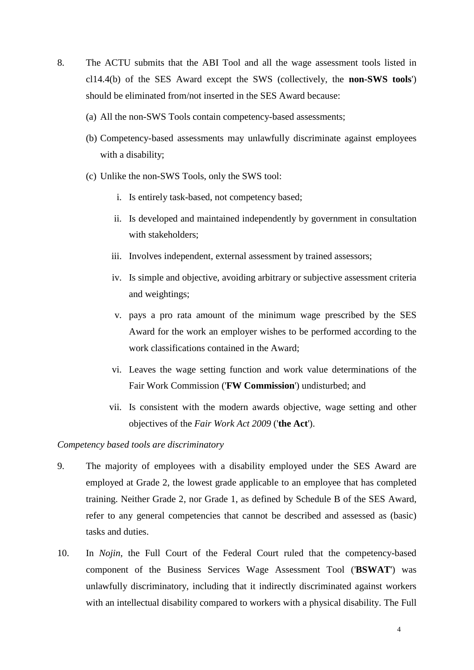- 8. The ACTU submits that the ABI Tool and all the wage assessment tools listed in cl14.4(b) of the SES Award except the SWS (collectively, the **non-SWS tools**') should be eliminated from/not inserted in the SES Award because:
	- (a) All the non-SWS Tools contain competency-based assessments;
	- (b) Competency-based assessments may unlawfully discriminate against employees with a disability;
	- (c) Unlike the non-SWS Tools, only the SWS tool:
		- i. Is entirely task-based, not competency based;
		- ii. Is developed and maintained independently by government in consultation with stakeholders;
		- iii. Involves independent, external assessment by trained assessors;
		- iv. Is simple and objective, avoiding arbitrary or subjective assessment criteria and weightings;
		- v. pays a pro rata amount of the minimum wage prescribed by the SES Award for the work an employer wishes to be performed according to the work classifications contained in the Award;
		- vi. Leaves the wage setting function and work value determinations of the Fair Work Commission ('**FW Commission**') undisturbed; and
		- vii. Is consistent with the modern awards objective, wage setting and other objectives of the *Fair Work Act 2009* ('**the Act**').

#### *Competency based tools are discriminatory*

- 9. The majority of employees with a disability employed under the SES Award are employed at Grade 2, the lowest grade applicable to an employee that has completed training. Neither Grade 2, nor Grade 1, as defined by Schedule B of the SES Award, refer to any general competencies that cannot be described and assessed as (basic) tasks and duties.
- 10. In *Nojin*, the Full Court of the Federal Court ruled that the competency-based component of the Business Services Wage Assessment Tool ('**BSWAT**') was unlawfully discriminatory, including that it indirectly discriminated against workers with an intellectual disability compared to workers with a physical disability. The Full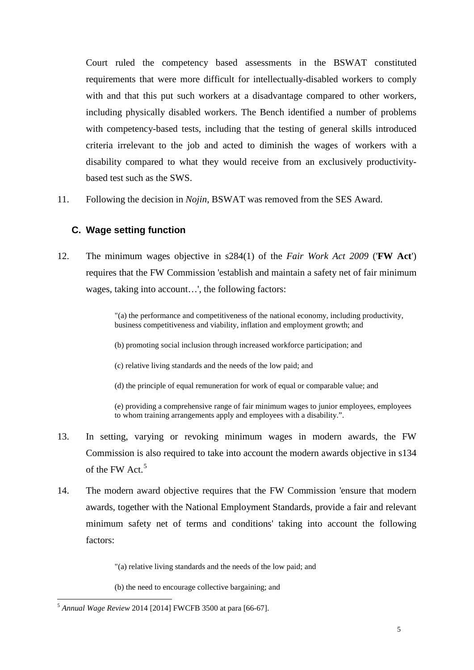Court ruled the competency based assessments in the BSWAT constituted requirements that were more difficult for intellectually-disabled workers to comply with and that this put such workers at a disadvantage compared to other workers, including physically disabled workers. The Bench identified a number of problems with competency-based tests, including that the testing of general skills introduced criteria irrelevant to the job and acted to diminish the wages of workers with a disability compared to what they would receive from an exclusively productivitybased test such as the SWS.

11. Following the decision in *Nojin*, BSWAT was removed from the SES Award.

## **C. Wage setting function**

12. The minimum wages objective in s284(1) of the *Fair Work Act 2009* ('**FW Act**') requires that the FW Commission 'establish and maintain a safety net of fair minimum wages, taking into account…', the following factors:

> "(a) the performance and competitiveness of the national economy, including productivity, business competitiveness and viability, inflation and employment growth; and

(b) promoting social inclusion through increased workforce participation; and

(c) relative living standards and the needs of the low paid; and

(d) the principle of equal remuneration for work of equal or comparable value; and

(e) providing a comprehensive range of fair minimum wages to junior employees, employees to whom training arrangements apply and employees with a disability.".

- 13. In setting, varying or revoking minimum wages in modern awards, the FW Commission is also required to take into account the modern awards objective in s134 of the FW Act. [5](#page-4-0)
- 14. The modern award objective requires that the FW Commission 'ensure that modern awards, together with the National Employment Standards, provide a fair and relevant minimum safety net of terms and conditions' taking into account the following factors:

"(a) relative living standards and the needs of the low paid; and

(b) the need to encourage collective bargaining; and

<span id="page-4-0"></span> <sup>5</sup> *Annual Wage Review* 2014 [2014] FWCFB 3500 at para [66-67].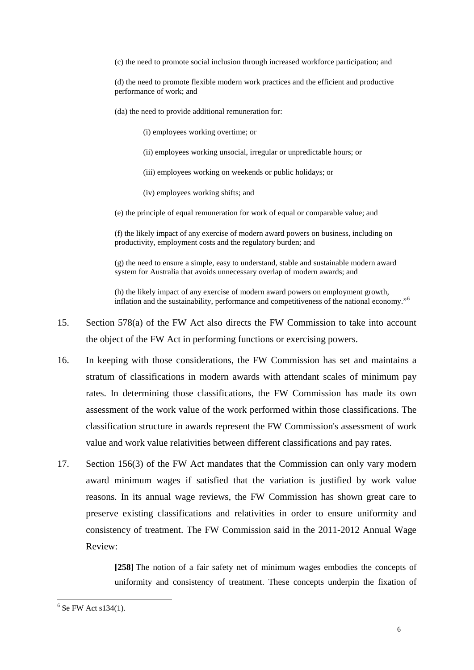(c) the need to promote social inclusion through increased workforce participation; and

(d) the need to promote flexible modern work practices and the efficient and productive performance of work; and

(da) the need to provide additional remuneration for:

(i) employees working overtime; or

- (ii) employees working unsocial, irregular or unpredictable hours; or
- (iii) employees working on weekends or public holidays; or
- (iv) employees working shifts; and

(e) the principle of equal remuneration for work of equal or comparable value; and

(f) the likely impact of any exercise of modern award powers on business, including on productivity, employment costs and the regulatory burden; and

(g) the need to ensure a simple, easy to understand, stable and sustainable modern award system for Australia that avoids unnecessary overlap of modern awards; and

(h) the likely impact of any exercise of modern award powers on employment growth, inflation and the sustainability, performance and competitiveness of the national economy."[6](#page-5-0)

- 15. Section 578(a) of the FW Act also directs the FW Commission to take into account the object of the FW Act in performing functions or exercising powers.
- 16. In keeping with those considerations, the FW Commission has set and maintains a stratum of classifications in modern awards with attendant scales of minimum pay rates. In determining those classifications, the FW Commission has made its own assessment of the work value of the work performed within those classifications. The classification structure in awards represent the FW Commission's assessment of work value and work value relativities between different classifications and pay rates.
- 17. Section 156(3) of the FW Act mandates that the Commission can only vary modern award minimum wages if satisfied that the variation is justified by work value reasons. In its annual wage reviews, the FW Commission has shown great care to preserve existing classifications and relativities in order to ensure uniformity and consistency of treatment. The FW Commission said in the 2011-2012 Annual Wage Review:

**[258]** The notion of a fair safety net of minimum wages embodies the concepts of uniformity and consistency of treatment. These concepts underpin the fixation of

<span id="page-5-0"></span> $6$  Se FW Act s134(1).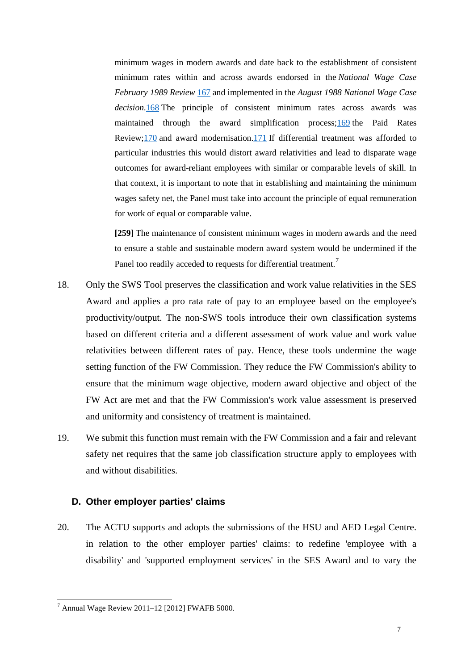minimum wages in modern awards and date back to the establishment of consistent minimum rates within and across awards endorsed in the *National Wage Case February 1989 Review* [167](https://www.fwc.gov.au/documents/decisionssigned/html/2012fwafb5000.htm%23P1984_167895) and implemented in the *August 1988 National Wage Case decision*[.168](https://www.fwc.gov.au/documents/decisionssigned/html/2012fwafb5000.htm%23P1985_167986) The principle of consistent minimum rates across awards was maintained through the award simplification process[;169](https://www.fwc.gov.au/documents/decisionssigned/html/2012fwafb5000.htm%23P1986_168119) the Paid Rates Review[;170](https://www.fwc.gov.au/documents/decisionssigned/html/2012fwafb5000.htm%23P1987_168173) and award modernisation[.171](https://www.fwc.gov.au/documents/decisionssigned/html/2012fwafb5000.htm%23P1988_168226) If differential treatment was afforded to particular industries this would distort award relativities and lead to disparate wage outcomes for award-reliant employees with similar or comparable levels of skill. In that context, it is important to note that in establishing and maintaining the minimum wages safety net, the Panel must take into account the principle of equal remuneration for work of equal or comparable value.

**[259]** The maintenance of consistent minimum wages in modern awards and the need to ensure a stable and sustainable modern award system would be undermined if the Panel too readily acceded to requests for differential treatment.<sup>[7](#page-6-0)</sup>

- 18. Only the SWS Tool preserves the classification and work value relativities in the SES Award and applies a pro rata rate of pay to an employee based on the employee's productivity/output. The non-SWS tools introduce their own classification systems based on different criteria and a different assessment of work value and work value relativities between different rates of pay. Hence, these tools undermine the wage setting function of the FW Commission. They reduce the FW Commission's ability to ensure that the minimum wage objective, modern award objective and object of the FW Act are met and that the FW Commission's work value assessment is preserved and uniformity and consistency of treatment is maintained.
- 19. We submit this function must remain with the FW Commission and a fair and relevant safety net requires that the same job classification structure apply to employees with and without disabilities.

### **D. Other employer parties' claims**

20. The ACTU supports and adopts the submissions of the HSU and AED Legal Centre. in relation to the other employer parties' claims: to redefine 'employee with a disability' and 'supported employment services' in the SES Award and to vary the

<span id="page-6-0"></span> $^7$  Annual Wage Review 2011–12 [2012] FWAFB 5000.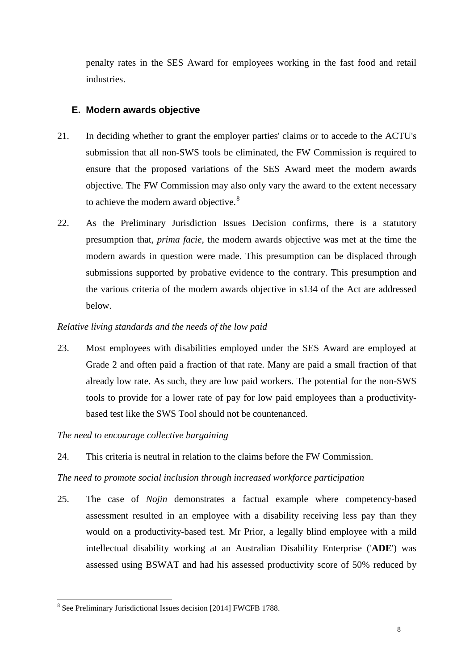penalty rates in the SES Award for employees working in the fast food and retail industries.

## **E. Modern awards objective**

- 21. In deciding whether to grant the employer parties' claims or to accede to the ACTU's submission that all non-SWS tools be eliminated, the FW Commission is required to ensure that the proposed variations of the SES Award meet the modern awards objective. The FW Commission may also only vary the award to the extent necessary to achieve the modern award objective.<sup>[8](#page-7-0)</sup>
- 22. As the Preliminary Jurisdiction Issues Decision confirms, there is a statutory presumption that, *prima facie*, the modern awards objective was met at the time the modern awards in question were made. This presumption can be displaced through submissions supported by probative evidence to the contrary. This presumption and the various criteria of the modern awards objective in s134 of the Act are addressed below.

### *Relative living standards and the needs of the low paid*

23. Most employees with disabilities employed under the SES Award are employed at Grade 2 and often paid a fraction of that rate. Many are paid a small fraction of that already low rate. As such, they are low paid workers. The potential for the non-SWS tools to provide for a lower rate of pay for low paid employees than a productivitybased test like the SWS Tool should not be countenanced.

### *The need to encourage collective bargaining*

24. This criteria is neutral in relation to the claims before the FW Commission.

#### *The need to promote social inclusion through increased workforce participation*

25. The case of *Nojin* demonstrates a factual example where competency-based assessment resulted in an employee with a disability receiving less pay than they would on a productivity-based test. Mr Prior, a legally blind employee with a mild intellectual disability working at an Australian Disability Enterprise ('**ADE**') was assessed using BSWAT and had his assessed productivity score of 50% reduced by

<span id="page-7-0"></span> <sup>8</sup> See Preliminary Jurisdictional Issues decision [2014] FWCFB 1788.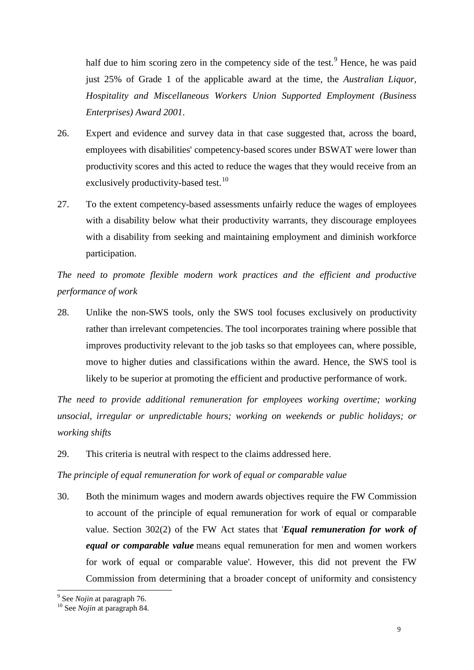half due to him scoring zero in the competency side of the test.<sup>[9](#page-8-0)</sup> Hence, he was paid just 25% of Grade 1 of the applicable award at the time, the *Australian Liquor, Hospitality and Miscellaneous Workers Union Supported Employment (Business Enterprises) Award 2001*.

- 26. Expert and evidence and survey data in that case suggested that, across the board, employees with disabilities' competency-based scores under BSWAT were lower than productivity scores and this acted to reduce the wages that they would receive from an exclusively productivity-based test.<sup>[10](#page-8-1)</sup>
- 27. To the extent competency-based assessments unfairly reduce the wages of employees with a disability below what their productivity warrants, they discourage employees with a disability from seeking and maintaining employment and diminish workforce participation.

*The need to promote flexible modern work practices and the efficient and productive performance of work*

28. Unlike the non-SWS tools, only the SWS tool focuses exclusively on productivity rather than irrelevant competencies. The tool incorporates training where possible that improves productivity relevant to the job tasks so that employees can, where possible, move to higher duties and classifications within the award. Hence, the SWS tool is likely to be superior at promoting the efficient and productive performance of work.

*The need to provide additional remuneration for employees working overtime; working unsocial, irregular or unpredictable hours; working on weekends or public holidays; or working shifts*

29. This criteria is neutral with respect to the claims addressed here.

*The principle of equal remuneration for work of equal or comparable value*

30. Both the minimum wages and modern awards objectives require the FW Commission to account of the principle of equal remuneration for work of equal or comparable value. Section 302(2) of the FW Act states that '*Equal remuneration for work of equal or comparable value* means equal remuneration for men and women workers for work of equal or comparable value'. However, this did not prevent the FW Commission from determining that a broader concept of uniformity and consistency

<span id="page-8-1"></span><span id="page-8-0"></span><sup>9</sup> See *Nojin* at paragraph 76. <sup>10</sup> See *Nojin* at paragraph 84.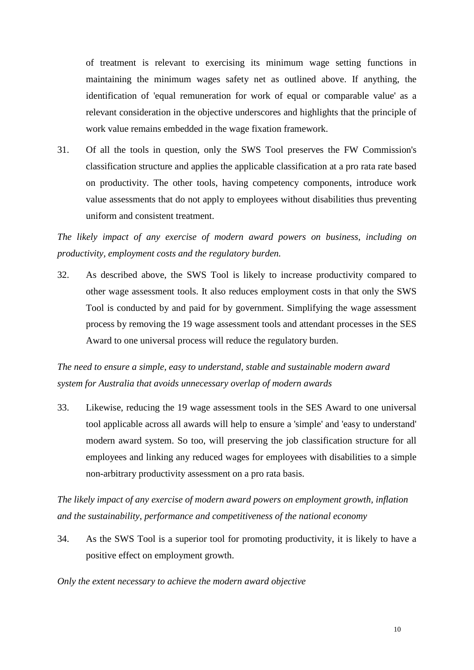of treatment is relevant to exercising its minimum wage setting functions in maintaining the minimum wages safety net as outlined above. If anything, the identification of 'equal remuneration for work of equal or comparable value' as a relevant consideration in the objective underscores and highlights that the principle of work value remains embedded in the wage fixation framework.

31. Of all the tools in question, only the SWS Tool preserves the FW Commission's classification structure and applies the applicable classification at a pro rata rate based on productivity. The other tools, having competency components, introduce work value assessments that do not apply to employees without disabilities thus preventing uniform and consistent treatment.

*The likely impact of any exercise of modern award powers on business, including on productivity, employment costs and the regulatory burden.*

32. As described above, the SWS Tool is likely to increase productivity compared to other wage assessment tools. It also reduces employment costs in that only the SWS Tool is conducted by and paid for by government. Simplifying the wage assessment process by removing the 19 wage assessment tools and attendant processes in the SES Award to one universal process will reduce the regulatory burden.

*The need to ensure a simple, easy to understand, stable and sustainable modern award system for Australia that avoids unnecessary overlap of modern awards*

33. Likewise, reducing the 19 wage assessment tools in the SES Award to one universal tool applicable across all awards will help to ensure a 'simple' and 'easy to understand' modern award system. So too, will preserving the job classification structure for all employees and linking any reduced wages for employees with disabilities to a simple non-arbitrary productivity assessment on a pro rata basis.

*The likely impact of any exercise of modern award powers on employment growth, inflation and the sustainability, performance and competitiveness of the national economy*

34. As the SWS Tool is a superior tool for promoting productivity, it is likely to have a positive effect on employment growth.

#### *Only the extent necessary to achieve the modern award objective*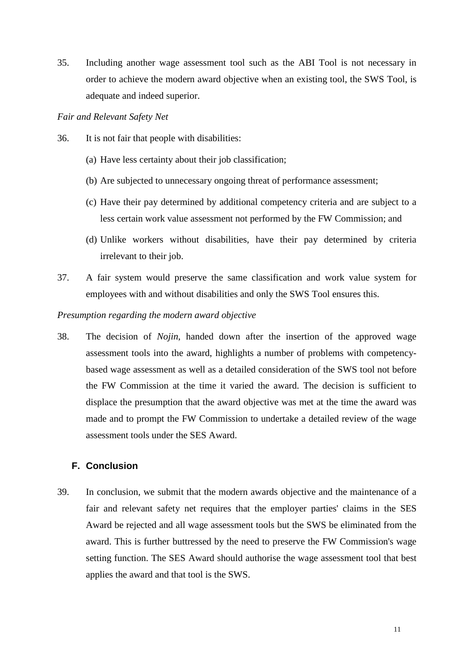35. Including another wage assessment tool such as the ABI Tool is not necessary in order to achieve the modern award objective when an existing tool, the SWS Tool, is adequate and indeed superior.

#### *Fair and Relevant Safety Net*

- 36. It is not fair that people with disabilities:
	- (a) Have less certainty about their job classification;
	- (b) Are subjected to unnecessary ongoing threat of performance assessment;
	- (c) Have their pay determined by additional competency criteria and are subject to a less certain work value assessment not performed by the FW Commission; and
	- (d) Unlike workers without disabilities, have their pay determined by criteria irrelevant to their job.
- 37. A fair system would preserve the same classification and work value system for employees with and without disabilities and only the SWS Tool ensures this.

#### *Presumption regarding the modern award objective*

38. The decision of *Nojin*, handed down after the insertion of the approved wage assessment tools into the award, highlights a number of problems with competencybased wage assessment as well as a detailed consideration of the SWS tool not before the FW Commission at the time it varied the award. The decision is sufficient to displace the presumption that the award objective was met at the time the award was made and to prompt the FW Commission to undertake a detailed review of the wage assessment tools under the SES Award.

### **F. Conclusion**

39. In conclusion, we submit that the modern awards objective and the maintenance of a fair and relevant safety net requires that the employer parties' claims in the SES Award be rejected and all wage assessment tools but the SWS be eliminated from the award. This is further buttressed by the need to preserve the FW Commission's wage setting function. The SES Award should authorise the wage assessment tool that best applies the award and that tool is the SWS.